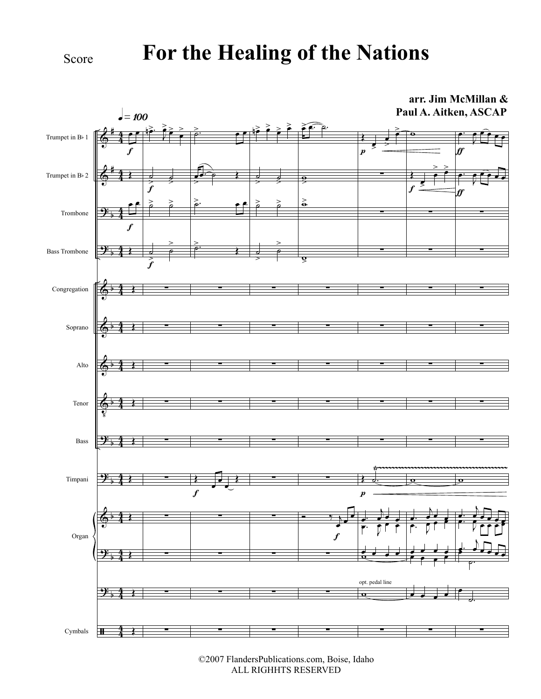Score

## **For the Healing of the Nations**



©2007 FlandersPublications.com, Boise, Idaho ALL RIGHHTS RESERVED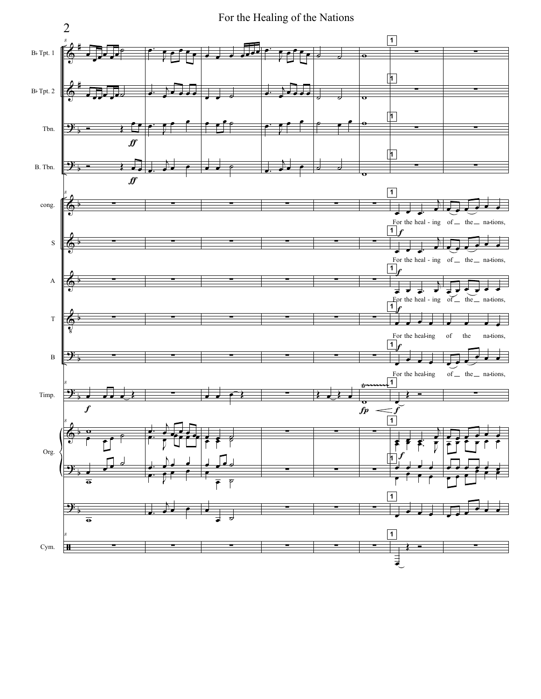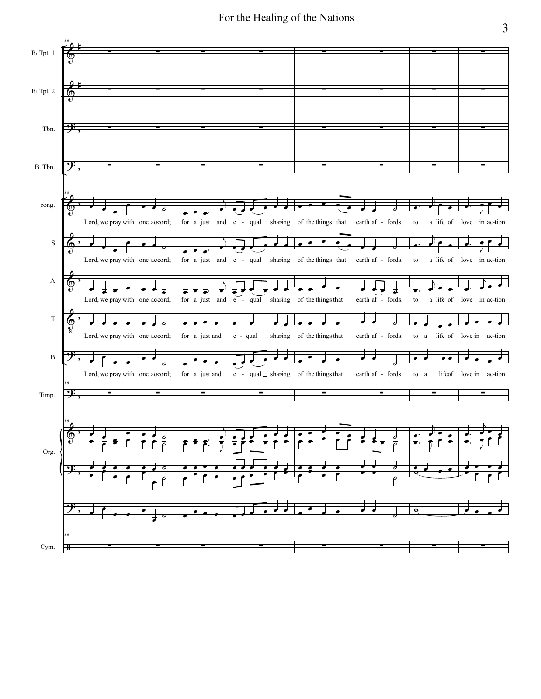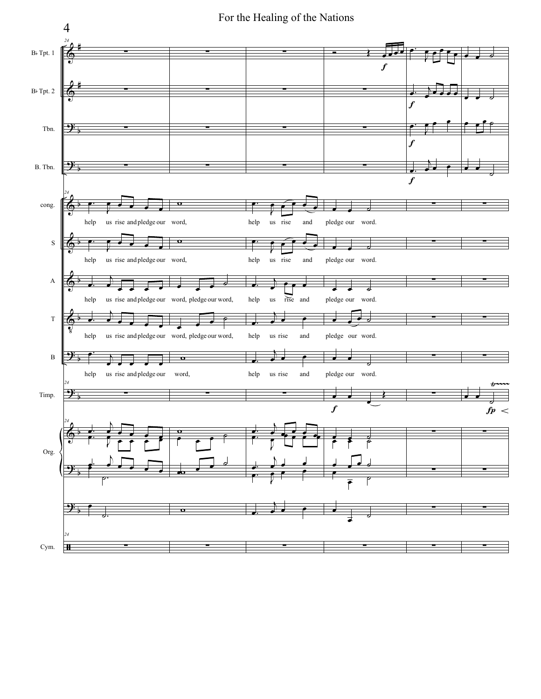

ã

Cym.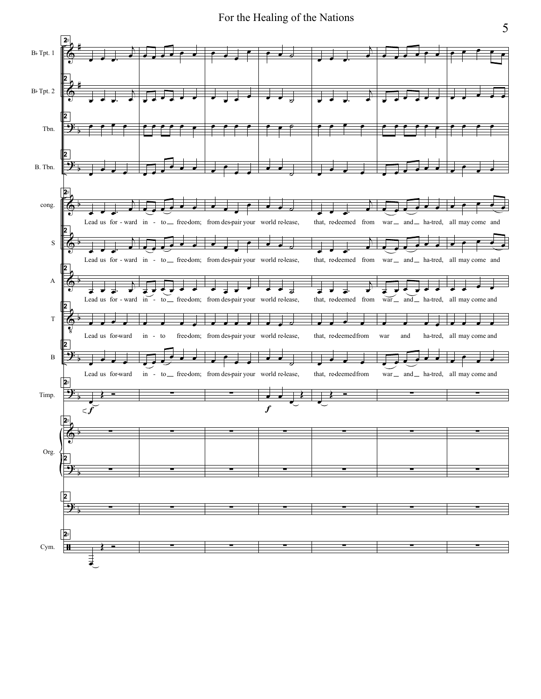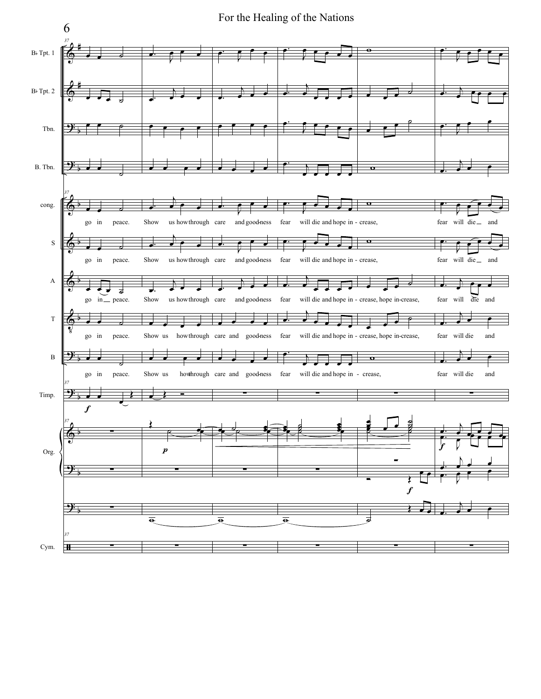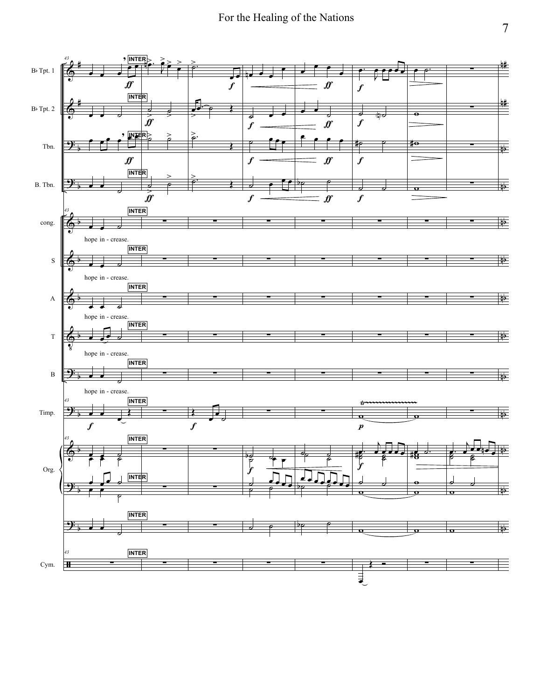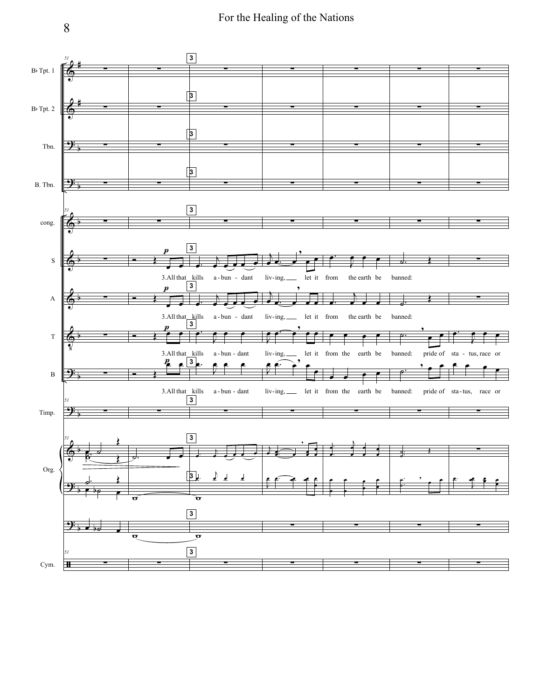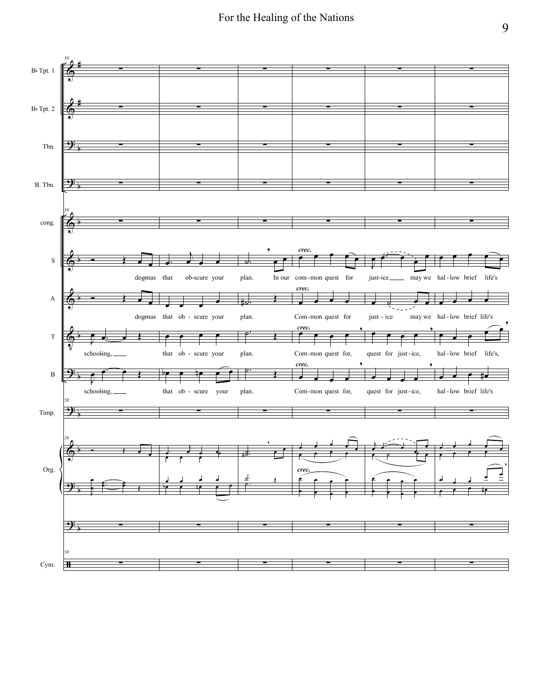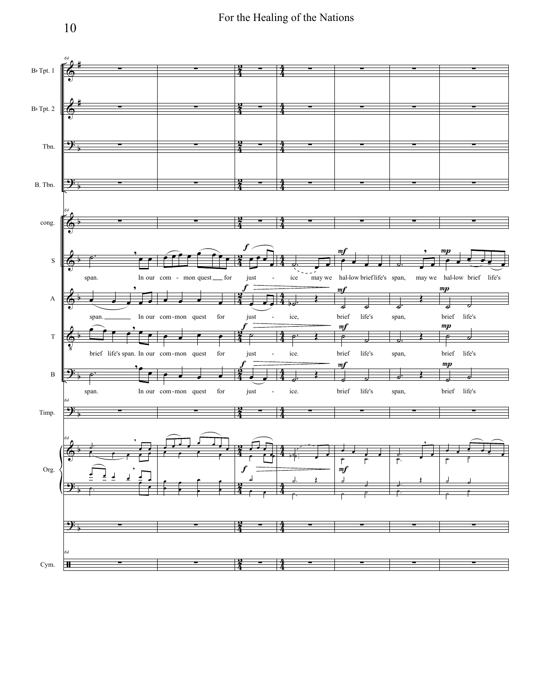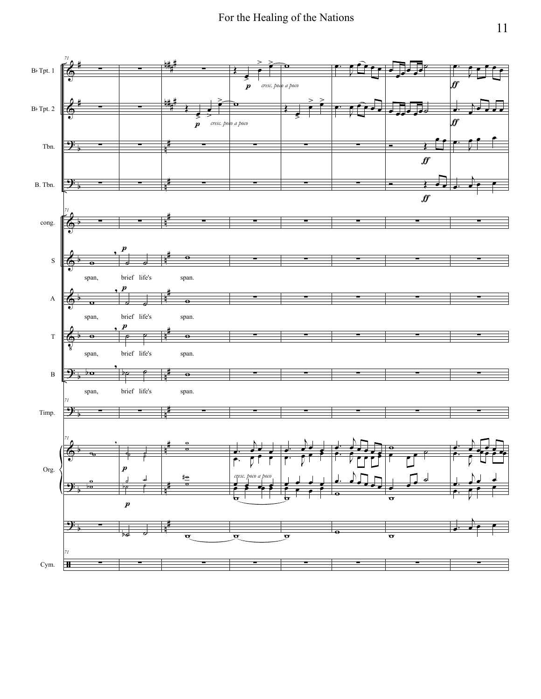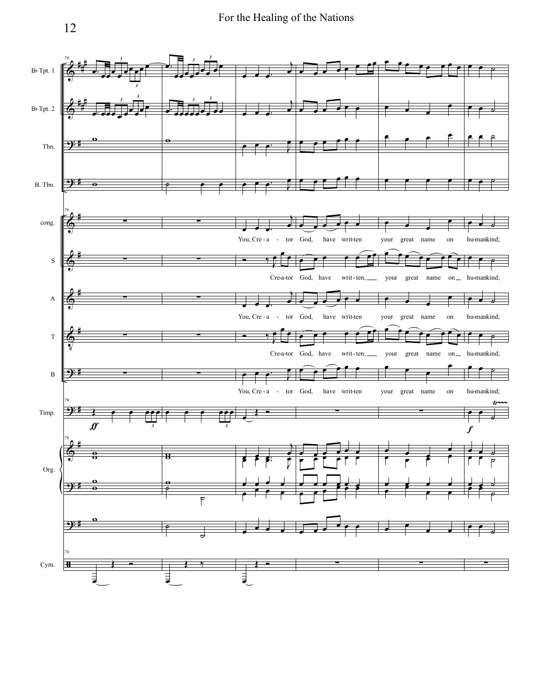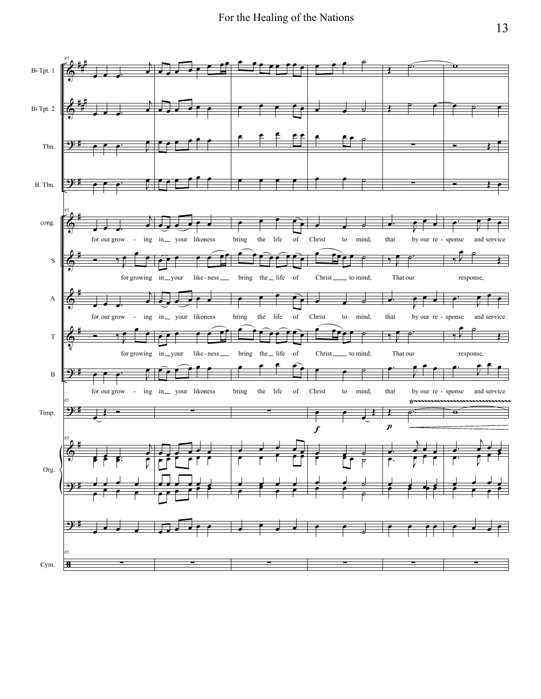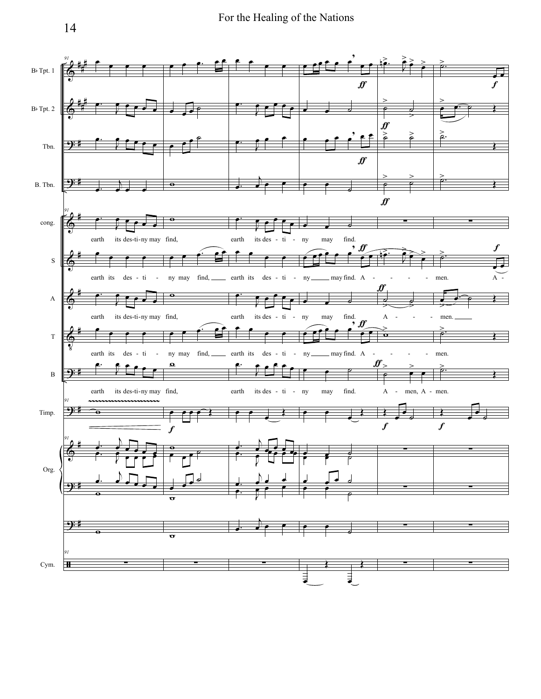